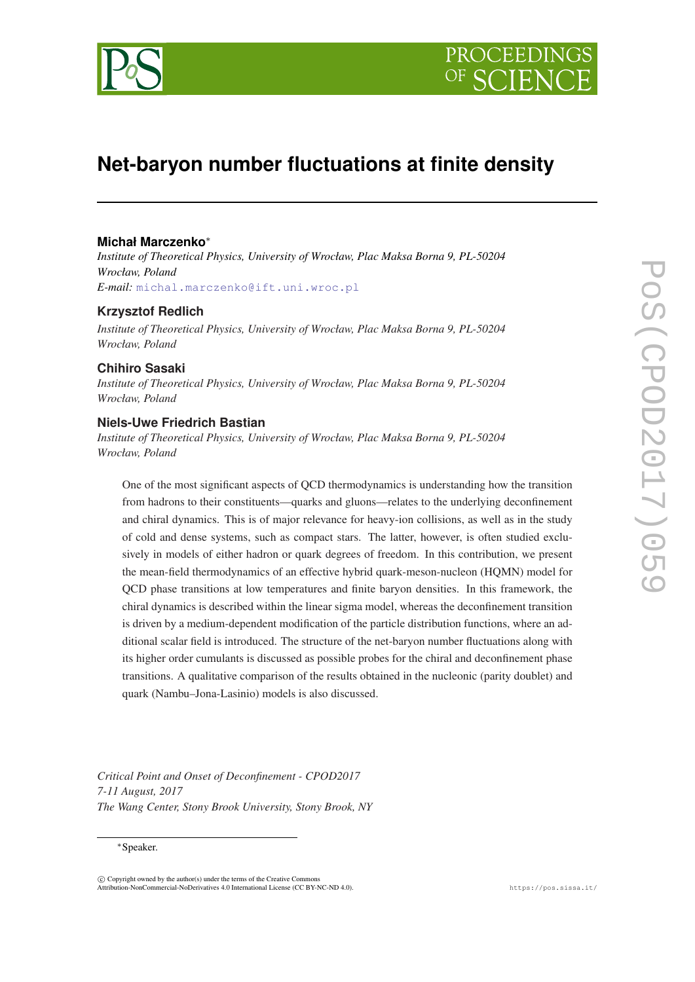



# **Net-baryon number fluctuations at finite density**

# **Michał Marczenko**<sup>∗</sup>

*Institute of Theoretical Physics, University of Wrocław, Plac Maksa Borna 9, PL-50204 Wrocław, Poland E-mail:* [michal.marczenko@ift.uni.wroc.pl](mailto:michal.marczenko@ift.uni.wroc.pl)

#### **Krzysztof Redlich**

*Institute of Theoretical Physics, University of Wrocław, Plac Maksa Borna 9, PL-50204 Wrocław, Poland*

#### **Chihiro Sasaki**

*Institute of Theoretical Physics, University of Wrocław, Plac Maksa Borna 9, PL-50204 Wrocław, Poland*

#### **Niels-Uwe Friedrich Bastian**

*Institute of Theoretical Physics, University of Wrocław, Plac Maksa Borna 9, PL-50204 Wrocław, Poland*

One of the most significant aspects of QCD thermodynamics is understanding how the transition from hadrons to their constituents—quarks and gluons—relates to the underlying deconfinement and chiral dynamics. This is of major relevance for heavy-ion collisions, as well as in the study of cold and dense systems, such as compact stars. The latter, however, is often studied exclusively in models of either hadron or quark degrees of freedom. In this contribution, we present the mean-field thermodynamics of an effective hybrid quark-meson-nucleon (HQMN) model for QCD phase transitions at low temperatures and finite baryon densities. In this framework, the chiral dynamics is described within the linear sigma model, whereas the deconfinement transition is driven by a medium-dependent modification of the particle distribution functions, where an additional scalar field is introduced. The structure of the net-baryon number fluctuations along with its higher order cumulants is discussed as possible probes for the chiral and deconfinement phase transitions. A qualitative comparison of the results obtained in the nucleonic (parity doublet) and quark (Nambu–Jona-Lasinio) models is also discussed.

*Critical Point and Onset of Deconfinement - CPOD2017 7-11 August, 2017 The Wang Center, Stony Brook University, Stony Brook, NY*

## <sup>∗</sup>Speaker.

 $\overline{c}$  Copyright owned by the author(s) under the terms of the Creative Commons Attribution-NonCommercial-NoDerivatives 4.0 International License (CC BY-NC-ND 4.0). https://pos.sissa.it/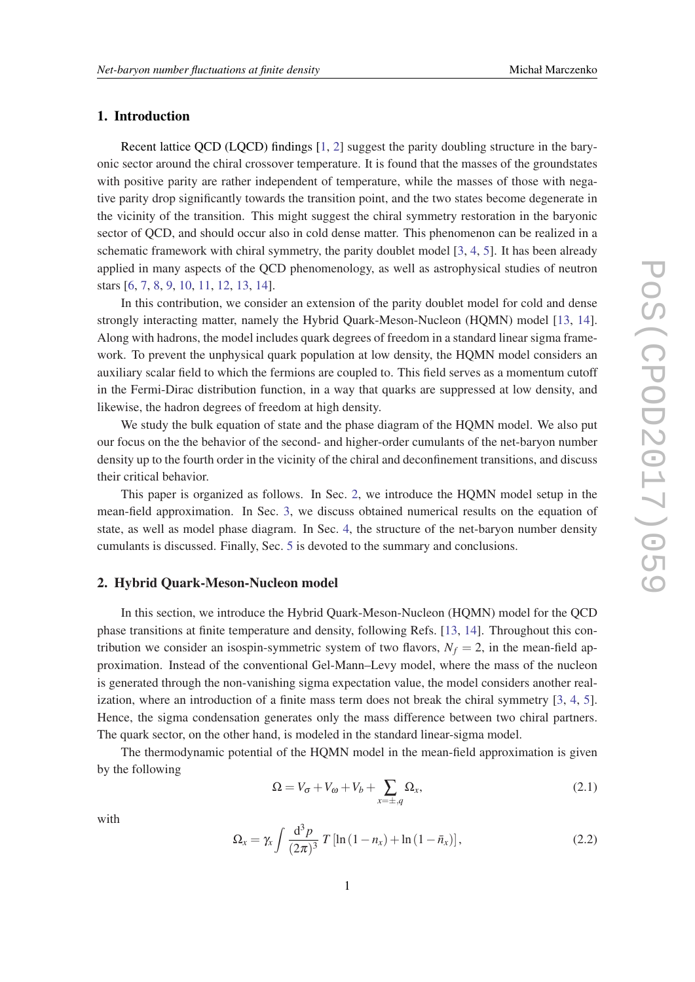# 1. Introduction

Recent lattice QCD (LQCD) findings [\[1,](#page-8-0) [2](#page-8-0)] suggest the parity doubling structure in the baryonic sector around the chiral crossover temperature. It is found that the masses of the groundstates with positive parity are rather independent of temperature, while the masses of those with negative parity drop significantly towards the transition point, and the two states become degenerate in the vicinity of the transition. This might suggest the chiral symmetry restoration in the baryonic sector of QCD, and should occur also in cold dense matter. This phenomenon can be realized in a schematic framework with chiral symmetry, the parity doublet model [\[3,](#page-8-0) [4,](#page-8-0) [5\]](#page-8-0). It has been already applied in many aspects of the QCD phenomenology, as well as astrophysical studies of neutron stars [[6](#page-8-0), [7](#page-8-0), [8,](#page-8-0) [9,](#page-8-0) [10](#page-8-0), [11,](#page-8-0) [12,](#page-8-0) [13](#page-9-0), [14\]](#page-9-0).

In this contribution, we consider an extension of the parity doublet model for cold and dense strongly interacting matter, namely the Hybrid Quark-Meson-Nucleon (HQMN) model [\[13](#page-9-0), [14\]](#page-9-0). Along with hadrons, the model includes quark degrees of freedom in a standard linear sigma framework. To prevent the unphysical quark population at low density, the HQMN model considers an auxiliary scalar field to which the fermions are coupled to. This field serves as a momentum cutoff in the Fermi-Dirac distribution function, in a way that quarks are suppressed at low density, and likewise, the hadron degrees of freedom at high density.

We study the bulk equation of state and the phase diagram of the HQMN model. We also put our focus on the the behavior of the second- and higher-order cumulants of the net-baryon number density up to the fourth order in the vicinity of the chiral and deconfinement transitions, and discuss their critical behavior.

This paper is organized as follows. In Sec. 2, we introduce the HQMN model setup in the mean-field approximation. In Sec. [3](#page-4-0), we discuss obtained numerical results on the equation of state, as well as model phase diagram. In Sec. [4](#page-5-0), the structure of the net-baryon number density cumulants is discussed. Finally, Sec. [5](#page-7-0) is devoted to the summary and conclusions.

# 2. Hybrid Quark-Meson-Nucleon model

In this section, we introduce the Hybrid Quark-Meson-Nucleon (HQMN) model for the QCD phase transitions at finite temperature and density, following Refs. [\[13,](#page-9-0) [14\]](#page-9-0). Throughout this contribution we consider an isospin-symmetric system of two flavors,  $N_f = 2$ , in the mean-field approximation. Instead of the conventional Gel-Mann–Levy model, where the mass of the nucleon is generated through the non-vanishing sigma expectation value, the model considers another realization, where an introduction of a finite mass term does not break the chiral symmetry [\[3,](#page-8-0) [4](#page-8-0), [5\]](#page-8-0). Hence, the sigma condensation generates only the mass difference between two chiral partners. The quark sector, on the other hand, is modeled in the standard linear-sigma model.

The thermodynamic potential of the HQMN model in the mean-field approximation is given by the following

$$
\Omega = V_{\sigma} + V_{\omega} + V_b + \sum_{x = \pm, q} \Omega_x,\tag{2.1}
$$

with

$$
\Omega_x = \gamma_x \int \frac{\mathrm{d}^3 p}{(2\pi)^3} \, T \left[ \ln \left( 1 - n_x \right) + \ln \left( 1 - \bar{n}_x \right) \right],\tag{2.2}
$$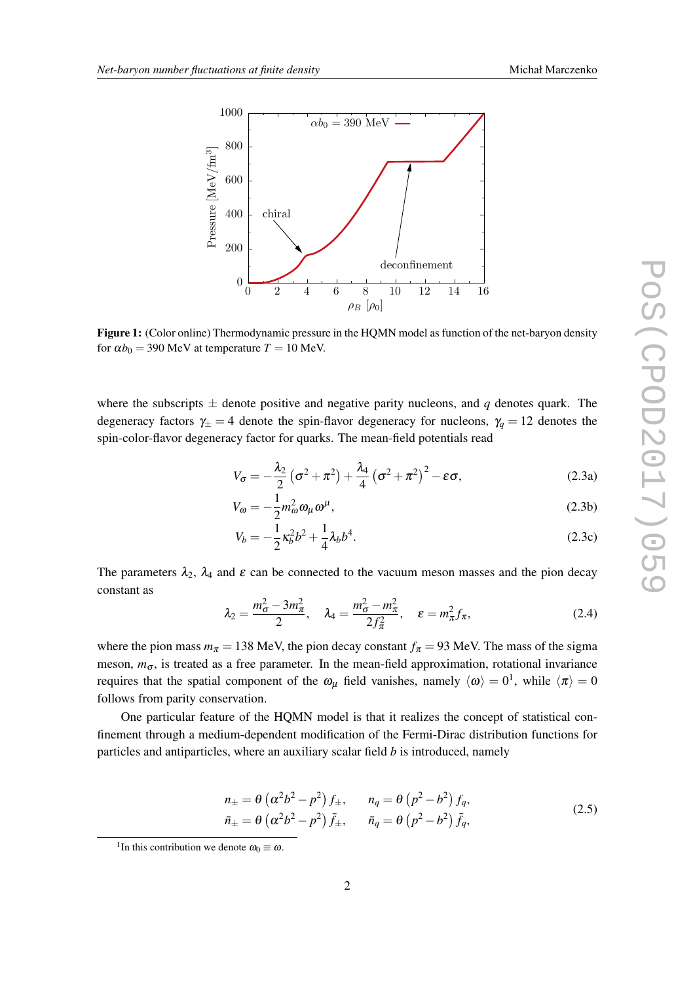<span id="page-2-0"></span>

Figure 1: (Color online) Thermodynamic pressure in the HQMN model as function of the net-baryon density for  $\alpha b_0 = 390$  MeV at temperature  $T = 10$  MeV.

where the subscripts  $\pm$  denote positive and negative parity nucleons, and q denotes quark. The degeneracy factors  $\gamma_{\pm} = 4$  denote the spin-flavor degeneracy for nucleons,  $\gamma_q = 12$  denotes the spin-color-flavor degeneracy factor for quarks. The mean-field potentials read

$$
V_{\sigma} = -\frac{\lambda_2}{2} \left( \sigma^2 + \pi^2 \right) + \frac{\lambda_4}{4} \left( \sigma^2 + \pi^2 \right)^2 - \varepsilon \sigma,
$$
 (2.3a)

$$
V_{\omega} = -\frac{1}{2}m_{\omega}^2 \omega_{\mu} \omega^{\mu},\tag{2.3b}
$$

$$
V_b = -\frac{1}{2}\kappa_b^2 b^2 + \frac{1}{4}\lambda_b b^4.
$$
 (2.3c)

The parameters  $\lambda_2$ ,  $\lambda_4$  and  $\varepsilon$  can be connected to the vacuum meson masses and the pion decay constant as

$$
\lambda_2 = \frac{m_{\sigma}^2 - 3m_{\pi}^2}{2}, \quad \lambda_4 = \frac{m_{\sigma}^2 - m_{\pi}^2}{2f_{\pi}^2}, \quad \varepsilon = m_{\pi}^2 f_{\pi}, \tag{2.4}
$$

where the pion mass  $m_{\pi} = 138$  MeV, the pion decay constant  $f_{\pi} = 93$  MeV. The mass of the sigma meson,  $m_{\sigma}$ , is treated as a free parameter. In the mean-field approximation, rotational invariance requires that the spatial component of the  $\omega_{\mu}$  field vanishes, namely  $\langle \omega \rangle = 0^1$ , while  $\langle \pi \rangle = 0$ follows from parity conservation.

One particular feature of the HQMN model is that it realizes the concept of statistical confinement through a medium-dependent modification of the Fermi-Dirac distribution functions for particles and antiparticles, where an auxiliary scalar field *b* is introduced, namely

$$
n_{\pm} = \theta \left( \alpha^2 b^2 - p^2 \right) f_{\pm}, \qquad n_q = \theta \left( p^2 - b^2 \right) f_q,
$$
  
\n
$$
\bar{n}_{\pm} = \theta \left( \alpha^2 b^2 - p^2 \right) \bar{f}_{\pm}, \qquad \bar{n}_q = \theta \left( p^2 - b^2 \right) \bar{f}_q,
$$
\n(2.5)

<sup>&</sup>lt;sup>1</sup>In this contribution we denote  $\omega_0 \equiv \omega$ .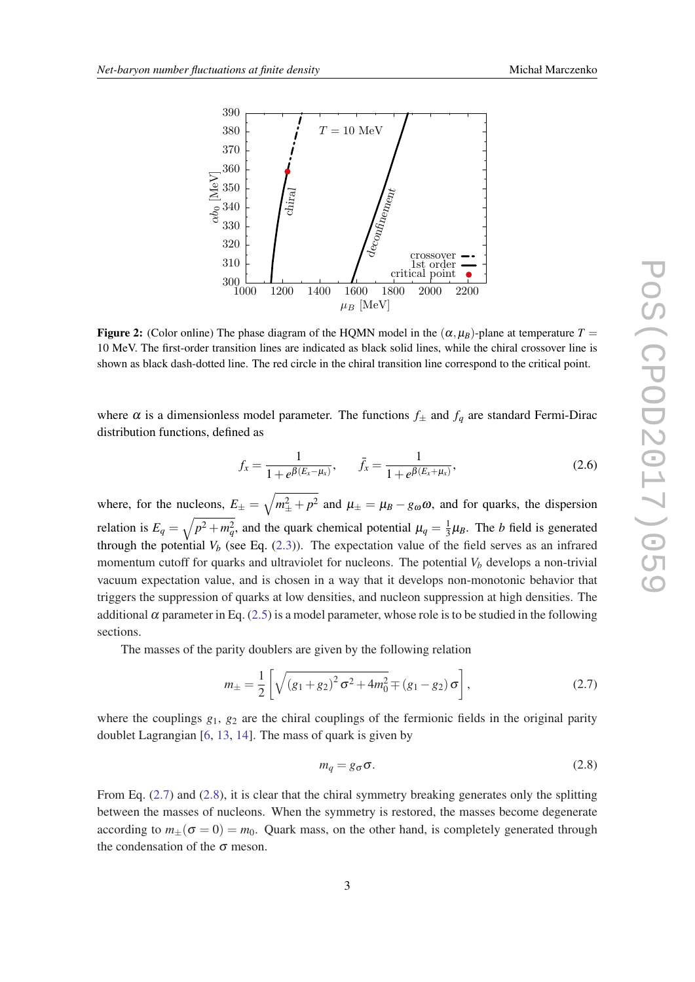<span id="page-3-0"></span>

**Figure 2:** (Color online) The phase diagram of the HQMN model in the  $(\alpha, \mu_B)$ -plane at temperature  $T =$ 10 MeV. The first-order transition lines are indicated as black solid lines, while the chiral crossover line is shown as black dash-dotted line. The red circle in the chiral transition line correspond to the critical point.

where  $\alpha$  is a dimensionless model parameter. The functions  $f_{\pm}$  and  $f_q$  are standard Fermi-Dirac distribution functions, defined as

$$
f_x = \frac{1}{1 + e^{\beta(E_x - \mu_x)}}, \qquad \bar{f}_x = \frac{1}{1 + e^{\beta(E_x + \mu_x)}},
$$
(2.6)

where, for the nucleons,  $E_{\pm} = \sqrt{m_{\pm}^2 + p^2}$  and  $\mu_{\pm} = \mu_B - g_{\omega}\omega$ , and for quarks, the dispersion relation is  $E_q = \sqrt{p^2 + m_q^2}$ , and the quark chemical potential  $\mu_q = \frac{1}{3}$  $\frac{1}{3}\mu_B$ . The *b* field is generated through the potential  $V_b$  (see Eq.  $(2.3)$  $(2.3)$  $(2.3)$ ). The expectation value of the field serves as an infrared momentum cutoff for quarks and ultraviolet for nucleons. The potential  $V<sub>b</sub>$  develops a non-trivial vacuum expectation value, and is chosen in a way that it develops non-monotonic behavior that triggers the suppression of quarks at low densities, and nucleon suppression at high densities. The additional  $\alpha$  parameter in Eq. ([2.5](#page-2-0)) is a model parameter, whose role is to be studied in the following sections.

The masses of the parity doublers are given by the following relation

$$
m_{\pm} = \frac{1}{2} \left[ \sqrt{\left(g_1 + g_2\right)^2 \sigma^2 + 4m_0^2} \mp \left(g_1 - g_2\right) \sigma \right],\tag{2.7}
$$

where the couplings  $g_1$ ,  $g_2$  are the chiral couplings of the fermionic fields in the original parity doublet Lagrangian [[6](#page-8-0), [13,](#page-9-0) [14](#page-9-0)]. The mass of quark is given by

$$
m_q = g_{\sigma} \sigma. \tag{2.8}
$$

From Eq. (2.7) and (2.8), it is clear that the chiral symmetry breaking generates only the splitting between the masses of nucleons. When the symmetry is restored, the masses become degenerate according to  $m_{+}(\sigma = 0) = m_0$ . Quark mass, on the other hand, is completely generated through the condensation of the  $\sigma$  meson.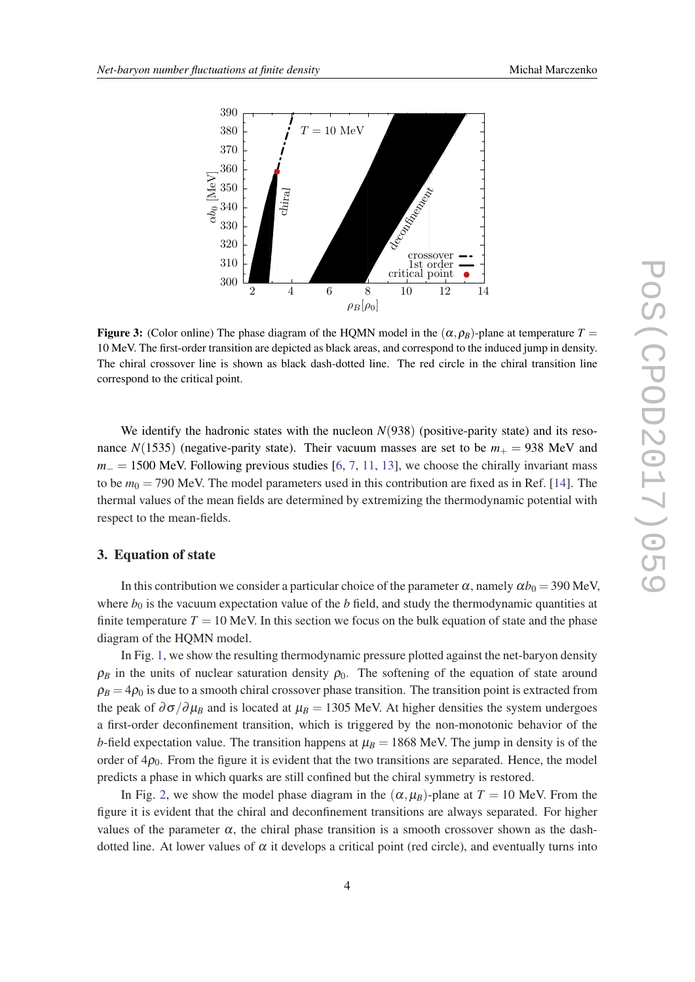<span id="page-4-0"></span>

**Figure 3:** (Color online) The phase diagram of the HQMN model in the  $(\alpha, \rho_B)$ -plane at temperature  $T =$ 10 MeV. The first-order transition are depicted as black areas, and correspond to the induced jump in density. The chiral crossover line is shown as black dash-dotted line. The red circle in the chiral transition line correspond to the critical point.

We identify the hadronic states with the nucleon  $N(938)$  (positive-parity state) and its resonance  $N(1535)$  (negative-parity state). Their vacuum masses are set to be  $m_{+} = 938$  MeV and  $m_$  = 1500 MeV. Following previous studies [[6](#page-8-0), [7,](#page-8-0) [11](#page-8-0), [13\]](#page-9-0), we choose the chirally invariant mass to be  $m_0 = 790$  MeV. The model parameters used in this contribution are fixed as in Ref. [\[14](#page-9-0)]. The thermal values of the mean fields are determined by extremizing the thermodynamic potential with respect to the mean-fields.

#### 3. Equation of state

In this contribution we consider a particular choice of the parameter  $\alpha$ , namely  $\alpha b_0 = 390$  MeV, where  $b_0$  is the vacuum expectation value of the  $b$  field, and study the thermodynamic quantities at finite temperature  $T = 10$  MeV. In this section we focus on the bulk equation of state and the phase diagram of the HQMN model.

In Fig. [1,](#page-2-0) we show the resulting thermodynamic pressure plotted against the net-baryon density  $\rho_B$  in the units of nuclear saturation density  $\rho_0$ . The softening of the equation of state around  $\rho_B = 4\rho_0$  is due to a smooth chiral crossover phase transition. The transition point is extracted from the peak of  $\partial \sigma / \partial \mu_B$  and is located at  $\mu_B = 1305$  MeV. At higher densities the system undergoes a first-order deconfinement transition, which is triggered by the non-monotonic behavior of the *b*-field expectation value. The transition happens at  $\mu_B = 1868$  MeV. The jump in density is of the order of  $4\rho_0$ . From the figure it is evident that the two transitions are separated. Hence, the model predicts a phase in which quarks are still confined but the chiral symmetry is restored.

In Fig. [2](#page-3-0), we show the model phase diagram in the  $(\alpha, \mu_B)$ -plane at  $T = 10$  MeV. From the figure it is evident that the chiral and deconfinement transitions are always separated. For higher values of the parameter  $\alpha$ , the chiral phase transition is a smooth crossover shown as the dashdotted line. At lower values of  $\alpha$  it develops a critical point (red circle), and eventually turns into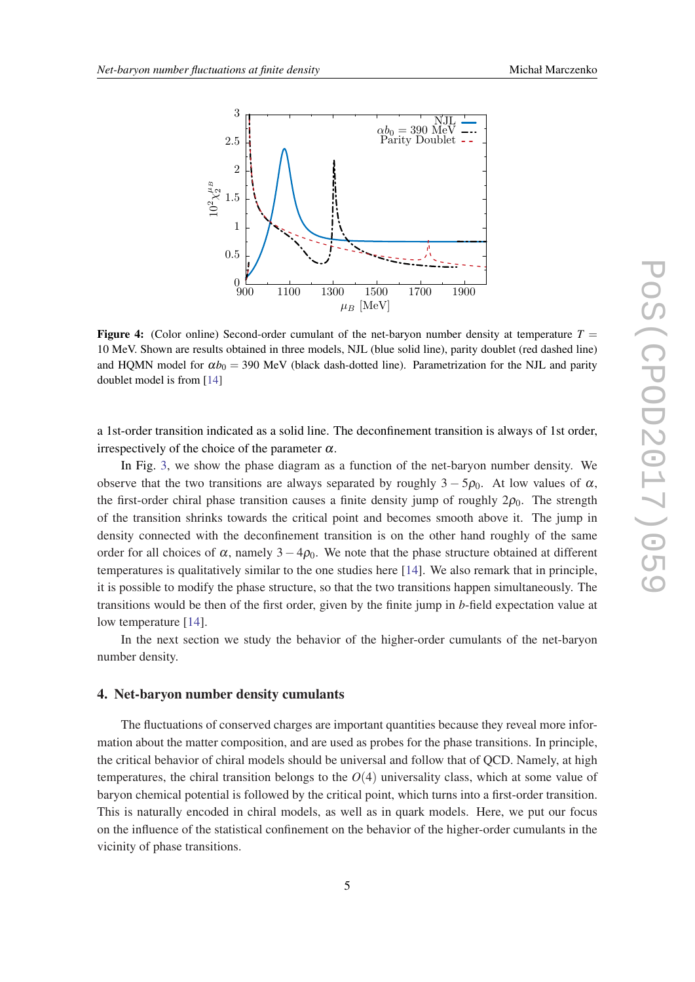<span id="page-5-0"></span>

**Figure 4:** (Color online) Second-order cumulant of the net-baryon number density at temperature  $T =$ 10 MeV. Shown are results obtained in three models, NJL (blue solid line), parity doublet (red dashed line) and HQMN model for  $\alpha b_0 = 390$  MeV (black dash-dotted line). Parametrization for the NJL and parity doublet model is from [\[14](#page-9-0)]

a 1st-order transition indicated as a solid line. The deconfinement transition is always of 1st order, irrespectively of the choice of the parameter  $\alpha$ .

In Fig. [3](#page-4-0), we show the phase diagram as a function of the net-baryon number density. We observe that the two transitions are always separated by roughly  $3 - 5\rho_0$ . At low values of  $\alpha$ , the first-order chiral phase transition causes a finite density jump of roughly  $2\rho_0$ . The strength of the transition shrinks towards the critical point and becomes smooth above it. The jump in density connected with the deconfinement transition is on the other hand roughly of the same order for all choices of  $\alpha$ , namely 3 – 4 $\rho_0$ . We note that the phase structure obtained at different temperatures is qualitatively similar to the one studies here [\[14](#page-9-0)]. We also remark that in principle, it is possible to modify the phase structure, so that the two transitions happen simultaneously. The transitions would be then of the first order, given by the finite jump in *b*-field expectation value at low temperature [[14\]](#page-9-0).

In the next section we study the behavior of the higher-order cumulants of the net-baryon number density.

## 4. Net-baryon number density cumulants

The fluctuations of conserved charges are important quantities because they reveal more information about the matter composition, and are used as probes for the phase transitions. In principle, the critical behavior of chiral models should be universal and follow that of QCD. Namely, at high temperatures, the chiral transition belongs to the  $O(4)$  universality class, which at some value of baryon chemical potential is followed by the critical point, which turns into a first-order transition. This is naturally encoded in chiral models, as well as in quark models. Here, we put our focus on the influence of the statistical confinement on the behavior of the higher-order cumulants in the vicinity of phase transitions.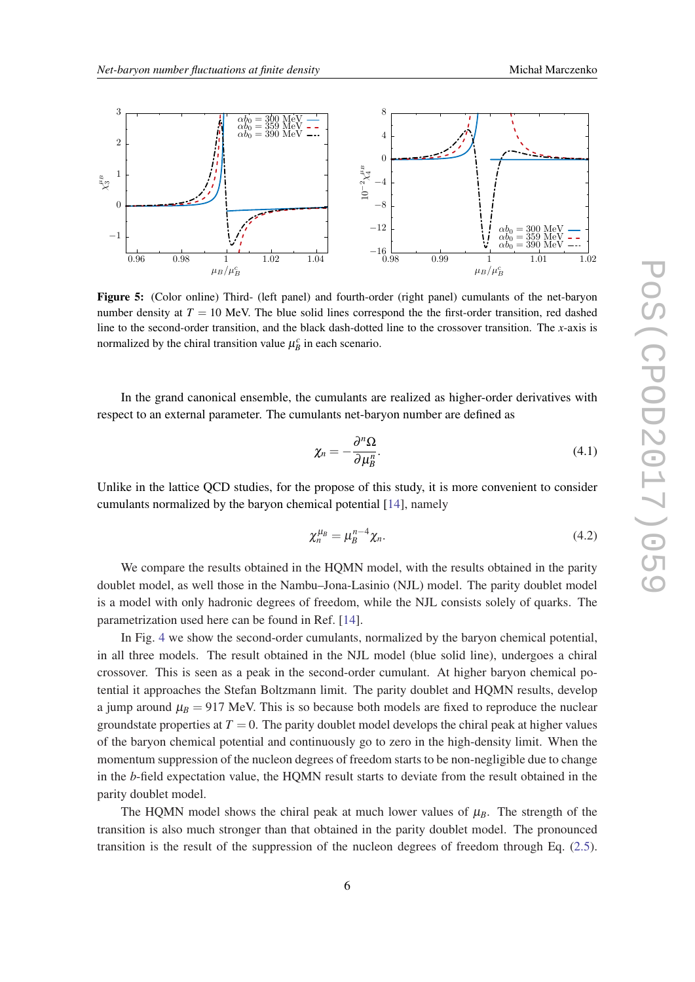<span id="page-6-0"></span>

Figure 5: (Color online) Third- (left panel) and fourth-order (right panel) cumulants of the net-baryon number density at  $T = 10$  MeV. The blue solid lines correspond the the first-order transition, red dashed line to the second-order transition, and the black dash-dotted line to the crossover transition. The *x*-axis is normalized by the chiral transition value  $\mu_B^c$  in each scenario.

In the grand canonical ensemble, the cumulants are realized as higher-order derivatives with respect to an external parameter. The cumulants net-baryon number are defined as

$$
\chi_n = -\frac{\partial^n \Omega}{\partial \mu_B^n}.\tag{4.1}
$$

Unlike in the lattice QCD studies, for the propose of this study, it is more convenient to consider cumulants normalized by the baryon chemical potential [\[14\]](#page-9-0), namely

$$
\chi_n^{\mu_B} = \mu_B^{n-4} \chi_n. \tag{4.2}
$$

We compare the results obtained in the HQMN model, with the results obtained in the parity doublet model, as well those in the Nambu–Jona-Lasinio (NJL) model. The parity doublet model is a model with only hadronic degrees of freedom, while the NJL consists solely of quarks. The parametrization used here can be found in Ref. [[14\]](#page-9-0).

In Fig. [4](#page-5-0) we show the second-order cumulants, normalized by the baryon chemical potential, in all three models. The result obtained in the NJL model (blue solid line), undergoes a chiral crossover. This is seen as a peak in the second-order cumulant. At higher baryon chemical potential it approaches the Stefan Boltzmann limit. The parity doublet and HQMN results, develop a jump around  $\mu_B = 917$  MeV. This is so because both models are fixed to reproduce the nuclear groundstate properties at  $T = 0$ . The parity doublet model develops the chiral peak at higher values of the baryon chemical potential and continuously go to zero in the high-density limit. When the momentum suppression of the nucleon degrees of freedom starts to be non-negligible due to change in the *b*-field expectation value, the HQMN result starts to deviate from the result obtained in the parity doublet model.

The HQMN model shows the chiral peak at much lower values of  $\mu_B$ . The strength of the transition is also much stronger than that obtained in the parity doublet model. The pronounced transition is the result of the suppression of the nucleon degrees of freedom through Eq. ([2.5\)](#page-2-0).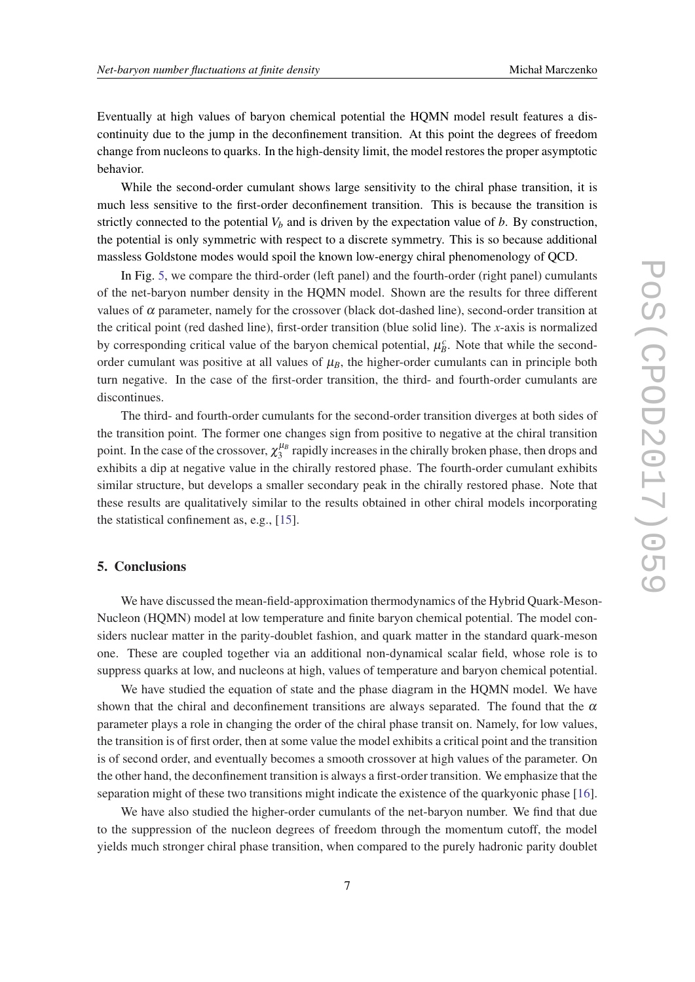<span id="page-7-0"></span>Eventually at high values of baryon chemical potential the HQMN model result features a discontinuity due to the jump in the deconfinement transition. At this point the degrees of freedom change from nucleons to quarks. In the high-density limit, the model restores the proper asymptotic behavior.

While the second-order cumulant shows large sensitivity to the chiral phase transition, it is much less sensitive to the first-order deconfinement transition. This is because the transition is strictly connected to the potential  $V_b$  and is driven by the expectation value of  $b$ . By construction, the potential is only symmetric with respect to a discrete symmetry. This is so because additional massless Goldstone modes would spoil the known low-energy chiral phenomenology of QCD.

In Fig. [5](#page-6-0), we compare the third-order (left panel) and the fourth-order (right panel) cumulants of the net-baryon number density in the HQMN model. Shown are the results for three different values of  $\alpha$  parameter, namely for the crossover (black dot-dashed line), second-order transition at the critical point (red dashed line), first-order transition (blue solid line). The *x*-axis is normalized by corresponding critical value of the baryon chemical potential,  $\mu_B^c$ . Note that while the secondorder cumulant was positive at all values of  $\mu_B$ , the higher-order cumulants can in principle both turn negative. In the case of the first-order transition, the third- and fourth-order cumulants are discontinues.

The third- and fourth-order cumulants for the second-order transition diverges at both sides of the transition point. The former one changes sign from positive to negative at the chiral transition point. In the case of the crossover,  $\chi_3^{\mu_B}$  $\frac{\mu_B}{3}$  rapidly increases in the chirally broken phase, then drops and exhibits a dip at negative value in the chirally restored phase. The fourth-order cumulant exhibits similar structure, but develops a smaller secondary peak in the chirally restored phase. Note that these results are qualitatively similar to the results obtained in other chiral models incorporating the statistical confinement as, e.g., [\[15](#page-9-0)].

## 5. Conclusions

We have discussed the mean-field-approximation thermodynamics of the Hybrid Quark-Meson-Nucleon (HQMN) model at low temperature and finite baryon chemical potential. The model considers nuclear matter in the parity-doublet fashion, and quark matter in the standard quark-meson one. These are coupled together via an additional non-dynamical scalar field, whose role is to suppress quarks at low, and nucleons at high, values of temperature and baryon chemical potential.

We have studied the equation of state and the phase diagram in the HQMN model. We have shown that the chiral and deconfinement transitions are always separated. The found that the  $\alpha$ parameter plays a role in changing the order of the chiral phase transit on. Namely, for low values, the transition is of first order, then at some value the model exhibits a critical point and the transition is of second order, and eventually becomes a smooth crossover at high values of the parameter. On the other hand, the deconfinement transition is always a first-order transition. We emphasize that the separation might of these two transitions might indicate the existence of the quarkyonic phase [[16\]](#page-9-0).

We have also studied the higher-order cumulants of the net-baryon number. We find that due to the suppression of the nucleon degrees of freedom through the momentum cutoff, the model yields much stronger chiral phase transition, when compared to the purely hadronic parity doublet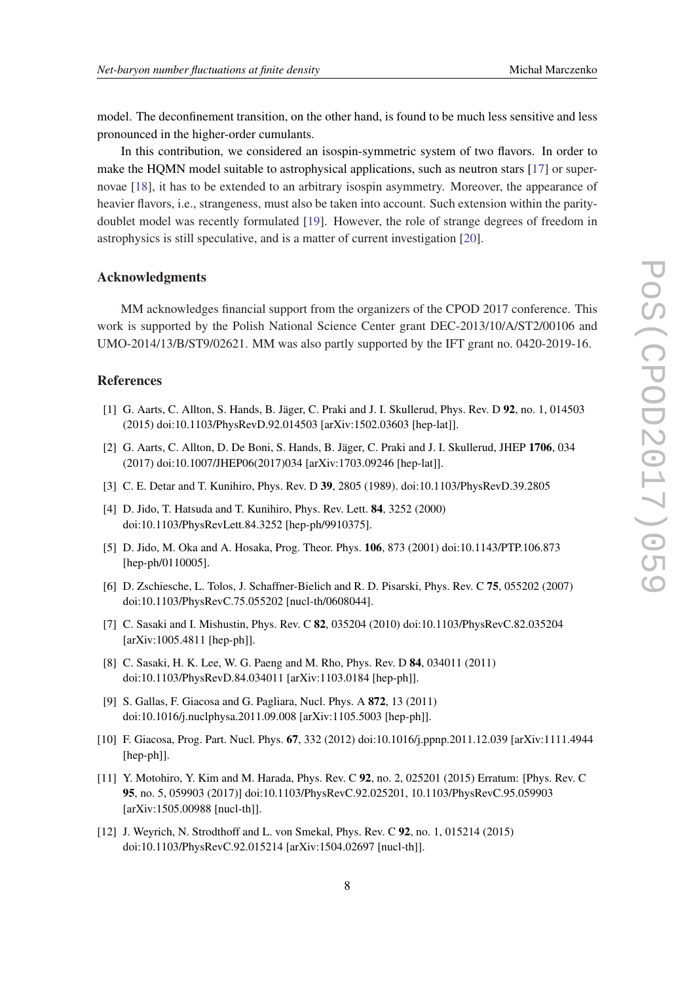<span id="page-8-0"></span>model. The deconfinement transition, on the other hand, is found to be much less sensitive and less pronounced in the higher-order cumulants.

In this contribution, we considered an isospin-symmetric system of two flavors. In order to make the HQMN model suitable to astrophysical applications, such as neutron stars [[17\]](#page-9-0) or supernovae [[18\]](#page-9-0), it has to be extended to an arbitrary isospin asymmetry. Moreover, the appearance of heavier flavors, i.e., strangeness, must also be taken into account. Such extension within the paritydoublet model was recently formulated [\[19](#page-9-0)]. However, the role of strange degrees of freedom in astrophysics is still speculative, and is a matter of current investigation [\[20](#page-9-0)].

#### Acknowledgments

MM acknowledges financial support from the organizers of the CPOD 2017 conference. This work is supported by the Polish National Science Center grant DEC-2013/10/A/ST2/00106 and UMO-2014/13/B/ST9/02621. MM was also partly supported by the IFT grant no. 0420-2019-16.

# References

- [1] G. Aarts, C. Allton, S. Hands, B. Jäger, C. Praki and J. I. Skullerud, Phys. Rev. D 92, no. 1, 014503 (2015) doi:10.1103/PhysRevD.92.014503 [arXiv:1502.03603 [hep-lat]].
- [2] G. Aarts, C. Allton, D. De Boni, S. Hands, B. Jäger, C. Praki and J. I. Skullerud, JHEP 1706, 034 (2017) doi:10.1007/JHEP06(2017)034 [arXiv:1703.09246 [hep-lat]].
- [3] C. E. Detar and T. Kunihiro, Phys. Rev. D 39, 2805 (1989). doi:10.1103/PhysRevD.39.2805
- [4] D. Jido, T. Hatsuda and T. Kunihiro, Phys. Rev. Lett. 84, 3252 (2000) doi:10.1103/PhysRevLett.84.3252 [hep-ph/9910375].
- [5] D. Jido, M. Oka and A. Hosaka, Prog. Theor. Phys. 106, 873 (2001) doi:10.1143/PTP.106.873 [hep-ph/0110005].
- [6] D. Zschiesche, L. Tolos, J. Schaffner-Bielich and R. D. Pisarski, Phys. Rev. C 75, 055202 (2007) doi:10.1103/PhysRevC.75.055202 [nucl-th/0608044].
- [7] C. Sasaki and I. Mishustin, Phys. Rev. C 82, 035204 (2010) doi:10.1103/PhysRevC.82.035204 [arXiv:1005.4811 [hep-ph]].
- [8] C. Sasaki, H. K. Lee, W. G. Paeng and M. Rho, Phys. Rev. D 84, 034011 (2011) doi:10.1103/PhysRevD.84.034011 [arXiv:1103.0184 [hep-ph]].
- [9] S. Gallas, F. Giacosa and G. Pagliara, Nucl. Phys. A 872, 13 (2011) doi:10.1016/j.nuclphysa.2011.09.008 [arXiv:1105.5003 [hep-ph]].
- [10] F. Giacosa, Prog. Part. Nucl. Phys. 67, 332 (2012) doi:10.1016/j.ppnp.2011.12.039 [arXiv:1111.4944 [hep-ph]].
- [11] Y. Motohiro, Y. Kim and M. Harada, Phys. Rev. C 92, no. 2, 025201 (2015) Erratum: [Phys. Rev. C 95, no. 5, 059903 (2017)] doi:10.1103/PhysRevC.92.025201, 10.1103/PhysRevC.95.059903 [arXiv:1505.00988 [nucl-th]].
- [12] J. Weyrich, N. Strodthoff and L. von Smekal, Phys. Rev. C 92, no. 1, 015214 (2015) doi:10.1103/PhysRevC.92.015214 [arXiv:1504.02697 [nucl-th]].